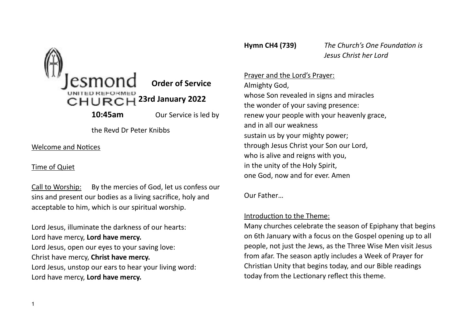

Welcome and Notices

## Time of Quiet

Call to Worship: By the mercies of God, let us confess our sins and present our bodies as a living sacrifice, holy and acceptable to him, which is our spiritual worship.

Lord Jesus, illuminate the darkness of our hearts: Lord have mercy, **Lord have mercy.** Lord Jesus, open our eyes to your saving love: Christ have mercy, **Christ have mercy.** Lord Jesus, unstop our ears to hear your living word: Lord have mercy, **Lord have mercy.**

**Hymn CH4 (739)** *The Church's One Foundation is Jesus Christ her Lord*

Prayer and the Lord's Prayer: Almighty God, whose Son revealed in signs and miracles the wonder of your saving presence: renew your people with your heavenly grace, and in all our weakness sustain us by your mighty power; through Jesus Christ your Son our Lord, who is alive and reigns with you, in the unity of the Holy Spirit, one God, now and for ever. Amen

Our Father…

## Introduction to the Theme:

Many churches celebrate the season of Epiphany that begins on 6th January with a focus on the Gospel opening up to all people, not just the Jews, as the Three Wise Men visit Jesus from afar. The season aptly includes a Week of Prayer for Christian Unity that begins today, and our Bible readings today from the Lectionary reflect this theme.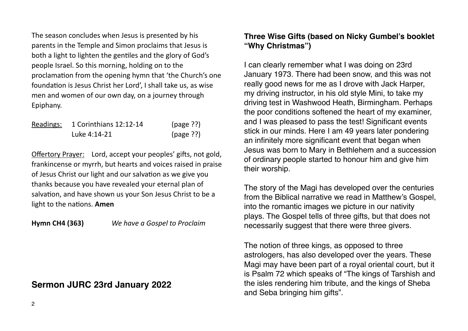The season concludes when Jesus is presented by his parents in the Temple and Simon proclaims that Jesus is both a light to lighten the gentiles and the glory of God's people Israel. So this morning, holding on to the proclamation from the opening hymn that 'the Church's one foundation is Jesus Christ her Lord', I shall take us, as wise men and women of our own day, on a journey through Epiphany.

|  | Readings: 1 Corinthians 12:12-14 | (page ??) |
|--|----------------------------------|-----------|
|  | Luke 4:14-21                     | (page ??) |

Offertory Prayer: Lord, accept your peoples' gifts, not gold, frankincense or myrrh, but hearts and voices raised in praise of Jesus Christ our light and our salvation as we give you thanks because you have revealed your eternal plan of salvation, and have shown us your Son Jesus Christ to be a light to the nations. **Amen**

**Hymn CH4 (363)** *We have a Gospel to Proclaim*

**Sermon JURC 23rd January 2022** 

## **Three Wise Gifts (based on Nicky Gumbel's booklet "Why Christmas")**

I can clearly remember what I was doing on 23rd January 1973. There had been snow, and this was not really good news for me as I drove with Jack Harper, my driving instructor, in his old style Mini, to take my driving test in Washwood Heath, Birmingham. Perhaps the poor conditions softened the heart of my examiner, and I was pleased to pass the test! Significant events stick in our minds. Here I am 49 years later pondering an infinitely more significant event that began when Jesus was born to Mary in Bethlehem and a succession of ordinary people started to honour him and give him their worship.

The story of the Magi has developed over the centuries from the Biblical narrative we read in Matthew's Gospel, into the romantic images we picture in our nativity plays. The Gospel tells of three gifts, but that does not necessarily suggest that there were three givers.

The notion of three kings, as opposed to three astrologers, has also developed over the years. These Magi may have been part of a royal oriental court, but it is Psalm 72 which speaks of "The kings of Tarshish and the isles rendering him tribute, and the kings of Sheba and Seba bringing him gifts".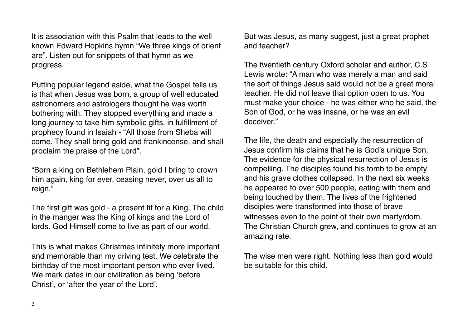It is association with this Psalm that leads to the well known Edward Hopkins hymn "We three kings of orient are". Listen out for snippets of that hymn as we progress.

Putting popular legend aside, what the Gospel tells us is that when Jesus was born, a group of well educated astronomers and astrologers thought he was worth bothering with. They stopped everything and made a long journey to take him symbolic gifts, in fulfillment of prophecy found in Isaiah - "All those from Sheba will come. They shall bring gold and frankincense, and shall proclaim the praise of the Lord".

"Born a king on Bethlehem Plain, gold I bring to crown him again, king for ever, ceasing never, over us all to reign."

The first gift was gold - a present fit for a King. The child in the manger was the King of kings and the Lord of lords. God Himself come to live as part of our world.

This is what makes Christmas infinitely more important and memorable than my driving test. We celebrate the birthday of the most important person who ever lived. We mark dates in our civilization as being 'before Christ', or 'after the year of the Lord'.

But was Jesus, as many suggest, just a great prophet and teacher?

The twentieth century Oxford scholar and author, C.S Lewis wrote: "A man who was merely a man and said the sort of things Jesus said would not be a great moral teacher. He did not leave that option open to us. You must make your choice - he was either who he said, the Son of God, or he was insane, or he was an evil deceiver."

The life, the death and especially the resurrection of Jesus confirm his claims that he is God's unique Son. The evidence for the physical resurrection of Jesus is compelling. The disciples found his tomb to be empty and his grave clothes collapsed. In the next six weeks he appeared to over 500 people, eating with them and being touched by them. The lives of the frightened disciples were transformed into those of brave witnesses even to the point of their own martyrdom. The Christian Church grew, and continues to grow at an amazing rate.

The wise men were right. Nothing less than gold would be suitable for this child.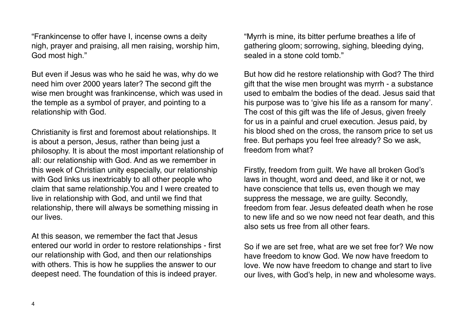"Frankincense to offer have I, incense owns a deity nigh, prayer and praising, all men raising, worship him, God most high."

But even if Jesus was who he said he was, why do we need him over 2000 years later? The second gift the wise men brought was frankincense, which was used in the temple as a symbol of prayer, and pointing to a relationship with God.

Christianity is first and foremost about relationships. It is about a person, Jesus, rather than being just a philosophy. It is about the most important relationship of all: our relationship with God. And as we remember in this week of Christian unity especially, our relationship with God links us inextricably to all other people who claim that same relationship.You and I were created to live in relationship with God, and until we find that relationship, there will always be something missing in our lives.

At this season, we remember the fact that Jesus entered our world in order to restore relationships - first our relationship with God, and then our relationships with others. This is how he supplies the answer to our deepest need. The foundation of this is indeed prayer.

"Myrrh is mine, its bitter perfume breathes a life of gathering gloom; sorrowing, sighing, bleeding dying, sealed in a stone cold tomb."

But how did he restore relationship with God? The third gift that the wise men brought was myrrh - a substance used to embalm the bodies of the dead. Jesus said that his purpose was to 'give his life as a ransom for many'. The cost of this gift was the life of Jesus, given freely for us in a painful and cruel execution. Jesus paid, by his blood shed on the cross, the ransom price to set us free. But perhaps you feel free already? So we ask, freedom from what?

Firstly, freedom from guilt. We have all broken God's laws in thought, word and deed, and like it or not, we have conscience that tells us, even though we may suppress the message, we are guilty. Secondly, freedom from fear. Jesus defeated death when he rose to new life and so we now need not fear death, and this also sets us free from all other fears.

So if we are set free, what are we set free for? We now have freedom to know God. We now have freedom to love. We now have freedom to change and start to live our lives, with God's help, in new and wholesome ways.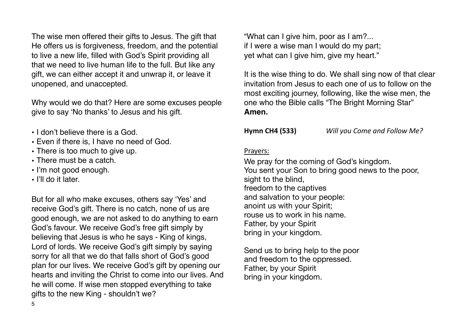The wise men offered their gifts to Jesus. The gift that He offers us is forgiveness, freedom, and the potential to live a new life, filled with God's Spirit providing all that we need to live human life to the full. But like any gift, we can either accept it and unwrap it, or leave it unopened, and unaccepted.

Why would we do that? Here are some excuses people give to say 'No thanks' to Jesus and his gift.

- I don't believe there is a God.
- Even if there is, I have no need of God.
- There is too much to give up.
- There must be a catch.
- I'm not good enough.
- I'll do it later.

But for all who make excuses, others say 'Yes' and receive God's gift. There is no catch, none of us are good enough, we are not asked to do anything to earn God's favour. We receive God's free gift simply by believing that Jesus is who he says - King of kings, Lord of lords. We receive God's gift simply by saying sorry for all that we do that falls short of God's good plan for our lives. We receive God's gift by opening our hearts and inviting the Christ to come into our lives. And he will come. If wise men stopped everything to take gifts to the new King - shouldn't we?

"What can I give him, poor as I am?... if I were a wise man I would do my part; yet what can I give him, give my heart."

It is the wise thing to do. We shall sing now of that clear invitation from Jesus to each one of us to follow on the most exciting journey, following, like the wise men, the one who the Bible calls "The Bright Morning Star" **Amen.**

**Hymn CH4 (533)** *Will you Come and Follow Me?*

## Prayers:

We pray for the coming of God's kingdom. You sent your Son to bring good news to the poor, sight to the blind, freedom to the captives and salvation to your people: anoint us with your Spirit; rouse us to work in his name. Father, by your Spirit bring in your kingdom.

Send us to bring help to the poor and freedom to the oppressed. Father, by your Spirit bring in your kingdom.